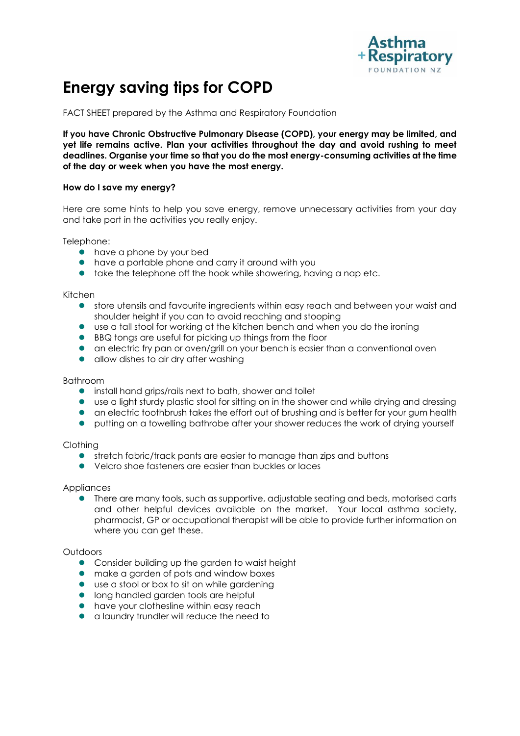

# **Energy saving tips for COPD**

FACT SHEET prepared by the Asthma and Respiratory Foundation

**If you have Chronic Obstructive Pulmonary Disease (COPD), your energy may be limited, and yet life remains active. Plan your activities throughout the day and avoid rushing to meet deadlines. Organise your time so that you do the most energy-consuming activities at the time of the day or week when you have the most energy.** 

### **How do I save my energy?**

Here are some hints to help you save energy, remove unnecessary activities from your day and take part in the activities you really enjoy.

Telephone:

- have a phone by your bed
- have a portable phone and carry it around with you
- **take the telephone off the hook while showering, having a nap etc.**

Kitchen

- store utensils and favourite ingredients within easy reach and between your waist and shoulder height if you can to avoid reaching and stooping
- use a tall stool for working at the kitchen bench and when you do the ironing
- BBQ tongs are useful for picking up things from the floor
- an electric fry pan or oven/grill on your bench is easier than a conventional oven
- allow dishes to air dry after washing

#### Bathroom

- install hand grips/rails next to bath, shower and toilet
- use a light sturdy plastic stool for sitting on in the shower and while drying and dressing
- an electric toothbrush takes the effort out of brushing and is better for your gum health
- **•** putting on a towelling bathrobe after your shower reduces the work of drying yourself

#### Clothing

- stretch fabric/track pants are easier to manage than zips and buttons
- Velcro shoe fasteners are easier than buckles or laces

#### **Appliances**

**•** There are many tools, such as supportive, adjustable seating and beds, motorised carts and other helpful devices available on the market. Your local asthma society, pharmacist, GP or occupational therapist will be able to provide further information on where you can get these.

#### Outdoors

- Consider building up the garden to waist height
- make a garden of pots and window boxes
- use a stool or box to sit on while gardening
- **•** long handled garden tools are helpful
- **•** have your clothesline within easy reach
- a laundry trundler will reduce the need to